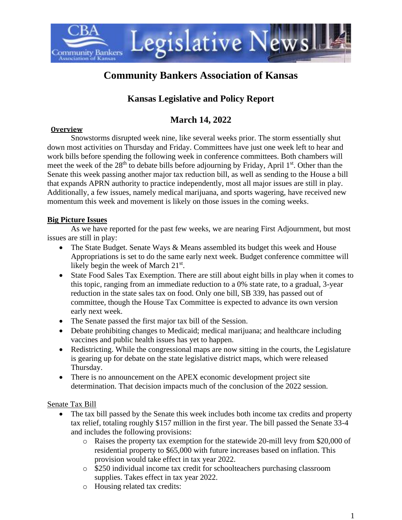

# **Community Bankers Association of Kansas**

# **Kansas Legislative and Policy Report**

## **March 14, 2022**

#### **Overview**

Snowstorms disrupted week nine, like several weeks prior. The storm essentially shut down most activities on Thursday and Friday. Committees have just one week left to hear and work bills before spending the following week in conference committees. Both chambers will meet the week of the  $28<sup>th</sup>$  to debate bills before adjourning by Friday, April  $1<sup>st</sup>$ . Other than the Senate this week passing another major tax reduction bill, as well as sending to the House a bill that expands APRN authority to practice independently, most all major issues are still in play. Additionally, a few issues, namely medical marijuana, and sports wagering, have received new momentum this week and movement is likely on those issues in the coming weeks.

#### **Big Picture Issues**

As we have reported for the past few weeks, we are nearing First Adjournment, but most issues are still in play:

- The State Budget. Senate Ways & Means assembled its budget this week and House Appropriations is set to do the same early next week. Budget conference committee will likely begin the week of March  $21^{st}$ .
- State Food Sales Tax Exemption. There are still about eight bills in play when it comes to this topic, ranging from an immediate reduction to a 0% state rate, to a gradual, 3-year reduction in the state sales tax on food. Only one bill, SB 339, has passed out of committee, though the House Tax Committee is expected to advance its own version early next week.
- The Senate passed the first major tax bill of the Session.
- Debate prohibiting changes to Medicaid; medical marijuana; and healthcare including vaccines and public health issues has yet to happen.
- Redistricting. While the congressional maps are now sitting in the courts, the Legislature is gearing up for debate on the state legislative district maps, which were released Thursday.
- There is no announcement on the APEX economic development project site determination. That decision impacts much of the conclusion of the 2022 session.

#### Senate Tax Bill

- The tax bill passed by the Senate this week includes both income tax credits and property tax relief, totaling roughly \$157 million in the first year. The bill passed the Senate 33-4 and includes the following provisions:
	- o Raises the property tax exemption for the statewide 20-mill levy from \$20,000 of residential property to \$65,000 with future increases based on inflation. This provision would take effect in tax year 2022.
	- o \$250 individual income tax credit for schoolteachers purchasing classroom supplies. Takes effect in tax year 2022.
	- o Housing related tax credits: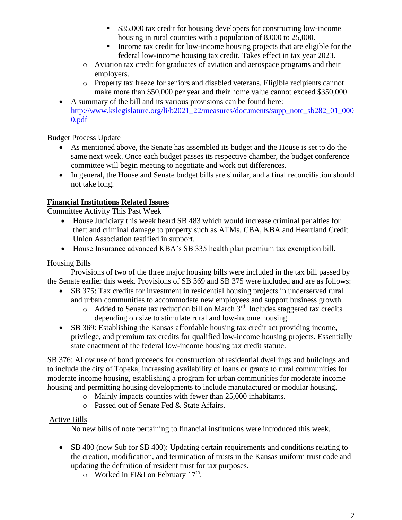- \$35,000 tax credit for housing developers for constructing low-income housing in rural counties with a population of 8,000 to 25,000.
- Income tax credit for low-income housing projects that are eligible for the federal low-income housing tax credit. Takes effect in tax year 2023.
- o Aviation tax credit for graduates of aviation and aerospace programs and their employers.
- o Property tax freeze for seniors and disabled veterans. Eligible recipients cannot make more than \$50,000 per year and their home value cannot exceed \$350,000.
- A summary of the bill and its various provisions can be found here: [http://www.kslegislature.org/li/b2021\\_22/measures/documents/supp\\_note\\_sb282\\_01\\_000](http://www.kslegislature.org/li/b2021_22/measures/documents/supp_note_sb282_01_0000.pdf) [0.pdf](http://www.kslegislature.org/li/b2021_22/measures/documents/supp_note_sb282_01_0000.pdf)

Budget Process Update

- As mentioned above, the Senate has assembled its budget and the House is set to do the same next week. Once each budget passes its respective chamber, the budget conference committee will begin meeting to negotiate and work out differences.
- In general, the House and Senate budget bills are similar, and a final reconciliation should not take long.

## **Financial Institutions Related Issues**

Committee Activity This Past Week

- House Judiciary this week heard SB 483 which would increase criminal penalties for theft and criminal damage to property such as ATMs. CBA, KBA and Heartland Credit Union Association testified in support.
- House Insurance advanced KBA's SB 335 health plan premium tax exemption bill.

### Housing Bills

Provisions of two of the three major housing bills were included in the tax bill passed by the Senate earlier this week. Provisions of SB 369 and SB 375 were included and are as follows:

- SB 375: Tax credits for investment in residential housing projects in underserved rural and urban communities to accommodate new employees and support business growth.
	- $\circ$  Added to Senate tax reduction bill on March  $3<sup>rd</sup>$ . Includes staggered tax credits depending on size to stimulate rural and low-income housing.
- SB 369: Establishing the Kansas affordable housing tax credit act providing income, privilege, and premium tax credits for qualified low-income housing projects. Essentially state enactment of the federal low-income housing tax credit statute.

SB 376: Allow use of bond proceeds for construction of residential dwellings and buildings and to include the city of Topeka, increasing availability of loans or grants to rural communities for moderate income housing, establishing a program for urban communities for moderate income housing and permitting housing developments to include manufactured or modular housing.

- o Mainly impacts counties with fewer than 25,000 inhabitants.
- o Passed out of Senate Fed & State Affairs.

### Active Bills

No new bills of note pertaining to financial institutions were introduced this week.

- SB 400 (now Sub for SB 400): Updating certain requirements and conditions relating to the creation, modification, and termination of trusts in the Kansas uniform trust code and updating the definition of resident trust for tax purposes.
	- $\circ$  Worked in FI&I on February 17<sup>th</sup>.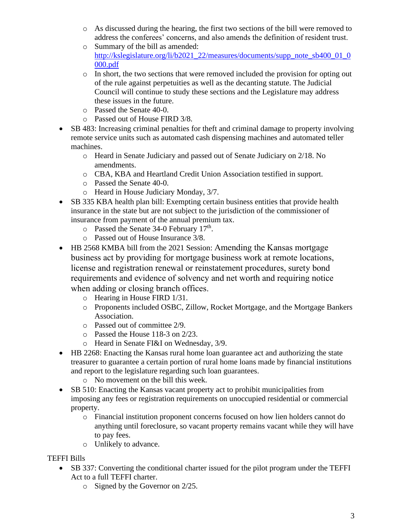- o As discussed during the hearing, the first two sections of the bill were removed to address the conferees' concerns, and also amends the definition of resident trust.
- o Summary of the bill as amended: [http://kslegislature.org/li/b2021\\_22/measures/documents/supp\\_note\\_sb400\\_01\\_0](http://kslegislature.org/li/b2021_22/measures/documents/supp_note_sb400_01_0000.pdf) [000.pdf](http://kslegislature.org/li/b2021_22/measures/documents/supp_note_sb400_01_0000.pdf)
- o In short, the two sections that were removed included the provision for opting out of the rule against perpetuities as well as the decanting statute. The Judicial Council will continue to study these sections and the Legislature may address these issues in the future.
- o Passed the Senate 40-0.
- o Passed out of House FIRD 3/8.
- SB 483: Increasing criminal penalties for theft and criminal damage to property involving remote service units such as automated cash dispensing machines and automated teller machines.
	- o Heard in Senate Judiciary and passed out of Senate Judiciary on 2/18. No amendments.
	- o CBA, KBA and Heartland Credit Union Association testified in support.
	- o Passed the Senate 40-0.
	- o Heard in House Judiciary Monday, 3/7.
- SB 335 KBA health plan bill: Exempting certain business entities that provide health insurance in the state but are not subject to the jurisdiction of the commissioner of insurance from payment of the annual premium tax.
	- $\circ$  Passed the Senate 34-0 February 17<sup>th</sup>.
	- o Passed out of House Insurance 3/8.
- HB 2568 KMBA bill from the 2021 Session: Amending the Kansas mortgage business act by providing for mortgage business work at remote locations, license and registration renewal or reinstatement procedures, surety bond requirements and evidence of solvency and net worth and requiring notice when adding or closing branch offices.
	- o Hearing in House FIRD 1/31.
	- o Proponents included OSBC, Zillow, Rocket Mortgage, and the Mortgage Bankers Association.
	- o Passed out of committee 2/9.
	- o Passed the House 118-3 on 2/23.
	- o Heard in Senate FI&I on Wednesday, 3/9.
- HB 2268: Enacting the Kansas rural home loan guarantee act and authorizing the state treasurer to guarantee a certain portion of rural home loans made by financial institutions and report to the legislature regarding such loan guarantees.
	- o No movement on the bill this week.
- SB 510: Enacting the Kansas vacant property act to prohibit municipalities from imposing any fees or registration requirements on unoccupied residential or commercial property.
	- o Financial institution proponent concerns focused on how lien holders cannot do anything until foreclosure, so vacant property remains vacant while they will have to pay fees.
	- o Unlikely to advance.

TEFFI Bills

- SB 337: Converting the conditional charter issued for the pilot program under the TEFFI Act to a full TEFFI charter.
	- o Signed by the Governor on 2/25.